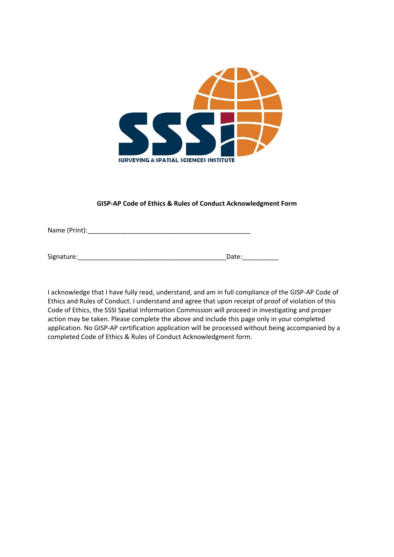

#### **GISP-AP Code of Ethics & Rules of Conduct Acknowledgment Form**

Name (Print):\_\_\_\_\_\_\_\_\_\_\_\_\_\_\_\_\_\_\_\_\_\_\_\_\_\_\_\_\_\_\_\_\_\_\_\_\_\_\_\_\_\_\_\_\_

Signature:\_\_\_\_\_\_\_\_\_\_\_\_\_\_\_\_\_\_\_\_\_\_\_\_\_\_\_\_\_\_\_\_\_\_\_\_\_\_\_\_\_Date:\_\_\_\_\_\_\_\_\_\_

I acknowledge that I have fully read, understand, and am in full compliance of the GISP-AP Code of Ethics and Rules of Conduct. I understand and agree that upon receipt of proof of violation of this Code of Ethics, the SSSI Spatial Information Commission will proceed in investigating and proper action may be taken. Please complete the above and include this page only in your completed application. No GISP-AP certification application will be processed without being accompanied by a completed Code of Ethics & Rules of Conduct Acknowledgment form.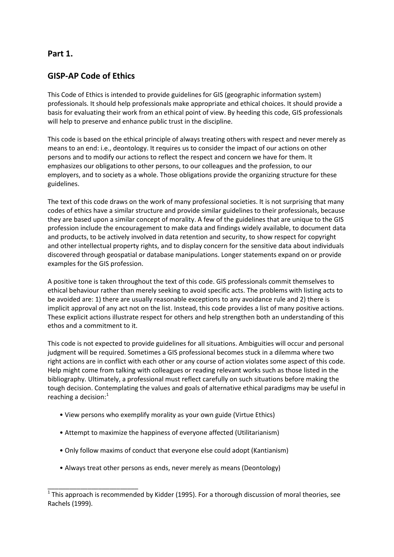#### **Part 1.**

## **GISP-AP Code of Ethics**

This Code of Ethics is intended to provide guidelines for GIS (geographic information system) professionals. It should help professionals make appropriate and ethical choices. It should provide a basis for evaluating their work from an ethical point of view. By heeding this code, GIS professionals will help to preserve and enhance public trust in the discipline.

This code is based on the ethical principle of always treating others with respect and never merely as means to an end: i.e., deontology. It requires us to consider the impact of our actions on other persons and to modify our actions to reflect the respect and concern we have for them. It emphasizes our obligations to other persons, to our colleagues and the profession, to our employers, and to society as a whole. Those obligations provide the organizing structure for these guidelines.

The text of this code draws on the work of many professional societies. It is not surprising that many codes of ethics have a similar structure and provide similar guidelines to their professionals, because they are based upon a similar concept of morality. A few of the guidelines that are unique to the GIS profession include the encouragement to make data and findings widely available, to document data and products, to be actively involved in data retention and security, to show respect for copyright and other intellectual property rights, and to display concern for the sensitive data about individuals discovered through geospatial or database manipulations. Longer statements expand on or provide examples for the GIS profession.

A positive tone is taken throughout the text of this code. GIS professionals commit themselves to ethical behaviour rather than merely seeking to avoid specific acts. The problems with listing acts to be avoided are: 1) there are usually reasonable exceptions to any avoidance rule and 2) there is implicit approval of any act not on the list. Instead, this code provides a list of many positive actions. These explicit actions illustrate respect for others and help strengthen both an understanding of this ethos and a commitment to it.

This code is not expected to provide guidelines for all situations. Ambiguities will occur and personal judgment will be required. Sometimes a GIS professional becomes stuck in a dilemma where two right actions are in conflict with each other or any course of action violates some aspect of this code. Help might come from talking with colleagues or reading relevant works such as those listed in the bibliography. Ultimately, a professional must reflect carefully on such situations before making the tough decision. Contemplating the values and goals of alternative ethical paradigms may be useful in reaching a decision:<sup>1</sup>

- View persons who exemplify morality as your own guide (Virtue Ethics)
- Attempt to maximize the happiness of everyone affected (Utilitarianism)
- Only follow maxims of conduct that everyone else could adopt (Kantianism)
- Always treat other persons as ends, never merely as means (Deontology)

\_\_\_\_\_\_\_\_\_\_\_\_\_\_\_\_\_\_\_\_\_\_\_\_\_

 $1$  This approach is recommended by Kidder (1995). For a thorough discussion of moral theories, see Rachels (1999).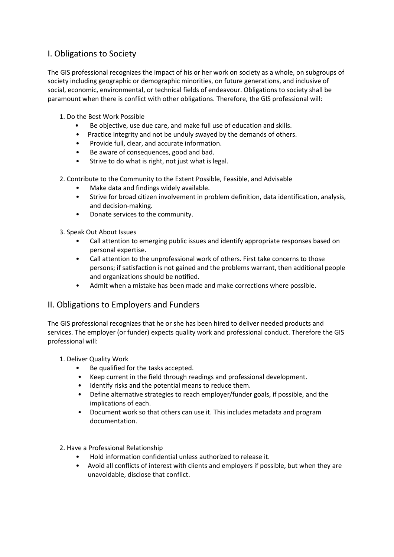# I. Obligations to Society

The GIS professional recognizes the impact of his or her work on society as a whole, on subgroups of society including geographic or demographic minorities, on future generations, and inclusive of social, economic, environmental, or technical fields of endeavour. Obligations to society shall be paramount when there is conflict with other obligations. Therefore, the GIS professional will:

1. Do the Best Work Possible

- Be objective, use due care, and make full use of education and skills.
- Practice integrity and not be unduly swayed by the demands of others.
- Provide full, clear, and accurate information.
- Be aware of consequences, good and bad.
- Strive to do what is right, not just what is legal.
- 2. Contribute to the Community to the Extent Possible, Feasible, and Advisable
	- Make data and findings widely available.
	- Strive for broad citizen involvement in problem definition, data identification, analysis, and decision-making.
	- Donate services to the community.

3. Speak Out About Issues

- Call attention to emerging public issues and identify appropriate responses based on personal expertise.
- Call attention to the unprofessional work of others. First take concerns to those persons; if satisfaction is not gained and the problems warrant, then additional people and organizations should be notified.
- Admit when a mistake has been made and make corrections where possible.

### II. Obligations to Employers and Funders

The GIS professional recognizes that he or she has been hired to deliver needed products and services. The employer (or funder) expects quality work and professional conduct. Therefore the GIS professional will:

1. Deliver Quality Work

- Be qualified for the tasks accepted.
- Keep current in the field through readings and professional development.
- Identify risks and the potential means to reduce them.
- Define alternative strategies to reach employer/funder goals, if possible, and the implications of each.
- Document work so that others can use it. This includes metadata and program documentation.

2. Have a Professional Relationship

- Hold information confidential unless authorized to release it.
- Avoid all conflicts of interest with clients and employers if possible, but when they are unavoidable, disclose that conflict.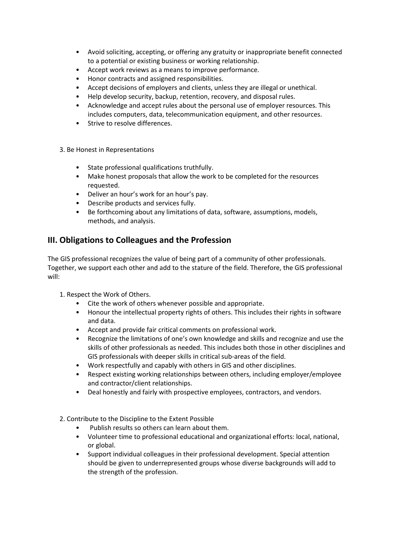- Avoid soliciting, accepting, or offering any gratuity or inappropriate benefit connected to a potential or existing business or working relationship.
- Accept work reviews as a means to improve performance.
- Honor contracts and assigned responsibilities.
- Accept decisions of employers and clients, unless they are illegal or unethical.
- Help develop security, backup, retention, recovery, and disposal rules.
- Acknowledge and accept rules about the personal use of employer resources. This includes computers, data, telecommunication equipment, and other resources.
- Strive to resolve differences.
- 3. Be Honest in Representations
	- State professional qualifications truthfully.
	- Make honest proposals that allow the work to be completed for the resources requested.
	- Deliver an hour's work for an hour's pay.
	- Describe products and services fully.
	- Be forthcoming about any limitations of data, software, assumptions, models, methods, and analysis.

### **III. Obligations to Colleagues and the Profession**

The GIS professional recognizes the value of being part of a community of other professionals. Together, we support each other and add to the stature of the field. Therefore, the GIS professional will:

- 1. Respect the Work of Others.
	- Cite the work of others whenever possible and appropriate.
	- Honour the intellectual property rights of others. This includes their rights in software and data.
	- Accept and provide fair critical comments on professional work.
	- Recognize the limitations of one's own knowledge and skills and recognize and use the skills of other professionals as needed. This includes both those in other disciplines and GIS professionals with deeper skills in critical sub-areas of the field.
	- Work respectfully and capably with others in GIS and other disciplines.
	- Respect existing working relationships between others, including employer/employee and contractor/client relationships.
	- Deal honestly and fairly with prospective employees, contractors, and vendors.
- 2. Contribute to the Discipline to the Extent Possible
	- Publish results so others can learn about them.
	- Volunteer time to professional educational and organizational efforts: local, national, or global.
	- Support individual colleagues in their professional development. Special attention should be given to underrepresented groups whose diverse backgrounds will add to the strength of the profession.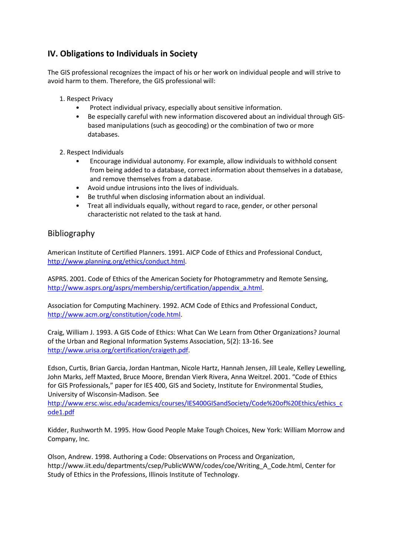# **IV. Obligations to Individuals in Society**

The GIS professional recognizes the impact of his or her work on individual people and will strive to avoid harm to them. Therefore, the GIS professional will:

- 1. Respect Privacy
	- Protect individual privacy, especially about sensitive information.
	- Be especially careful with new information discovered about an individual through GISbased manipulations (such as geocoding) or the combination of two or more databases.
- 2. Respect Individuals
	- Encourage individual autonomy. For example, allow individuals to withhold consent from being added to a database, correct information about themselves in a database, and remove themselves from a database.
	- Avoid undue intrusions into the lives of individuals.
	- Be truthful when disclosing information about an individual.
	- Treat all individuals equally, without regard to race, gender, or other personal characteristic not related to the task at hand.

# Bibliography

American Institute of Certified Planners. 1991. AICP Code of Ethics and Professional Conduct, [http://www.planning.org/ethics/conduct.html.](http://www.planning.org/ethics/conduct.html)

ASPRS. 2001. Code of Ethics of the American Society for Photogrammetry and Remote Sensing, [http://www.asprs.org/asprs/membership/certification/appendix\\_a.html.](http://www.asprs.org/asprs/membership/certification/appendix_a.html)

Association for Computing Machinery. 1992. ACM Code of Ethics and Professional Conduct, [http://www.acm.org/constitution/code.html.](http://www.acm.org/constitution/code.html)

Craig, William J. 1993. A GIS Code of Ethics: What Can We Learn from Other Organizations? Journal of the Urban and Regional Information Systems Association, 5(2): 13-16. See [http://www.urisa.org/certification/craigeth.pdf.](http://www.urisa.org/certification/craigeth.pdf)

Edson, Curtis, Brian Garcia, Jordan Hantman, Nicole Hartz, Hannah Jensen, Jill Leale, Kelley Lewelling, John Marks, Jeff Maxted, Bruce Moore, Brendan Vierk Rivera, Anna Weitzel. 2001. "Code of Ethics for GIS Professionals," paper for IES 400, GIS and Society, Institute for Environmental Studies, University of Wisconsin-Madison. See

[http://www.ersc.wisc.edu/academics/courses/IES400GISandSociety/Code%20of%20Ethics/ethics\\_c](http://www.ersc.wisc.edu/academics/courses/IES400GISandSociety/Code%20of%20Ethics/ethics_code1.pdf) [ode1.pdf](http://www.ersc.wisc.edu/academics/courses/IES400GISandSociety/Code%20of%20Ethics/ethics_code1.pdf)

Kidder, Rushworth M. 1995. How Good People Make Tough Choices, New York: William Morrow and Company, Inc.

Olson, Andrew. 1998. Authoring a Code: Observations on Process and Organization, http://www.iit.edu/departments/csep/PublicWWW/codes/coe/Writing\_A\_Code.html, Center for Study of Ethics in the Professions, Illinois Institute of Technology.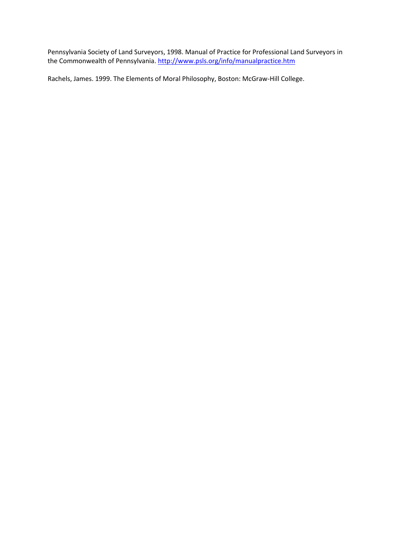Pennsylvania Society of Land Surveyors, 1998. Manual of Practice for Professional Land Surveyors in the Commonwealth of Pennsylvania[. http://www.psls.org/info/manualpractice.htm](http://www.psls.org/info/manualpractice.htm)

Rachels, James. 1999. The Elements of Moral Philosophy, Boston: McGraw-Hill College.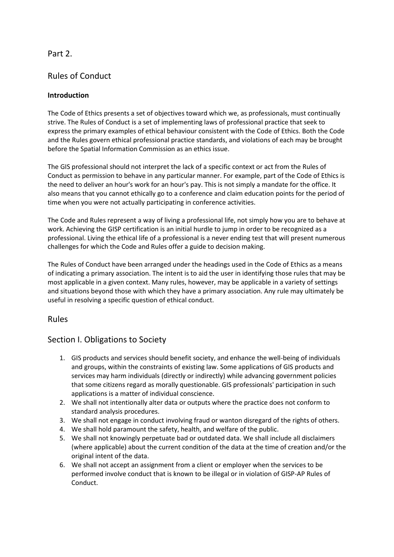### Part 2.

### Rules of Conduct

#### **Introduction**

The Code of Ethics presents a set of objectives toward which we, as professionals, must continually strive. The Rules of Conduct is a set of implementing laws of professional practice that seek to express the primary examples of ethical behaviour consistent with the Code of Ethics. Both the Code and the Rules govern ethical professional practice standards, and violations of each may be brought before the Spatial Information Commission as an ethics issue.

The GIS professional should not interpret the lack of a specific context or act from the Rules of Conduct as permission to behave in any particular manner. For example, part of the Code of Ethics is the need to deliver an hour's work for an hour's pay. This is not simply a mandate for the office. It also means that you cannot ethically go to a conference and claim education points for the period of time when you were not actually participating in conference activities.

The Code and Rules represent a way of living a professional life, not simply how you are to behave at work. Achieving the GISP certification is an initial hurdle to jump in order to be recognized as a professional. Living the ethical life of a professional is a never ending test that will present numerous challenges for which the Code and Rules offer a guide to decision making.

The Rules of Conduct have been arranged under the headings used in the Code of Ethics as a means of indicating a primary association. The intent is to aid the user in identifying those rules that may be most applicable in a given context. Many rules, however, may be applicable in a variety of settings and situations beyond those with which they have a primary association. Any rule may ultimately be useful in resolving a specific question of ethical conduct.

### Rules

### Section I. Obligations to Society

- 1. GIS products and services should benefit society, and enhance the well-being of individuals and groups, within the constraints of existing law. Some applications of GIS products and services may harm individuals (directly or indirectly) while advancing government policies that some citizens regard as morally questionable. GIS professionals' participation in such applications is a matter of individual conscience.
- 2. We shall not intentionally alter data or outputs where the practice does not conform to standard analysis procedures.
- 3. We shall not engage in conduct involving fraud or wanton disregard of the rights of others.
- 4. We shall hold paramount the safety, health, and welfare of the public.
- 5. We shall not knowingly perpetuate bad or outdated data. We shall include all disclaimers (where applicable) about the current condition of the data at the time of creation and/or the original intent of the data.
- 6. We shall not accept an assignment from a client or employer when the services to be performed involve conduct that is known to be illegal or in violation of GISP-AP Rules of Conduct.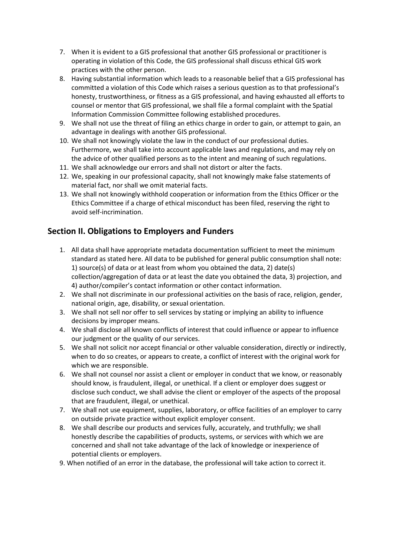- 7. When it is evident to a GIS professional that another GIS professional or practitioner is operating in violation of this Code, the GIS professional shall discuss ethical GIS work practices with the other person.
- 8. Having substantial information which leads to a reasonable belief that a GIS professional has committed a violation of this Code which raises a serious question as to that professional's honesty, trustworthiness, or fitness as a GIS professional, and having exhausted all efforts to counsel or mentor that GIS professional, we shall file a formal complaint with the Spatial Information Commission Committee following established procedures.
- 9. We shall not use the threat of filing an ethics charge in order to gain, or attempt to gain, an advantage in dealings with another GIS professional.
- 10. We shall not knowingly violate the law in the conduct of our professional duties. Furthermore, we shall take into account applicable laws and regulations, and may rely on the advice of other qualified persons as to the intent and meaning of such regulations.
- 11. We shall acknowledge our errors and shall not distort or alter the facts.
- 12. We, speaking in our professional capacity, shall not knowingly make false statements of material fact, nor shall we omit material facts.
- 13. We shall not knowingly withhold cooperation or information from the Ethics Officer or the Ethics Committee if a charge of ethical misconduct has been filed, reserving the right to avoid self-incrimination.

# **Section II. Obligations to Employers and Funders**

- 1. All data shall have appropriate metadata documentation sufficient to meet the minimum standard as stated here. All data to be published for general public consumption shall note: 1) source(s) of data or at least from whom you obtained the data, 2) date(s) collection/aggregation of data or at least the date you obtained the data, 3) projection, and 4) author/compiler's contact information or other contact information.
- 2. We shall not discriminate in our professional activities on the basis of race, religion, gender, national origin, age, disability, or sexual orientation.
- 3. We shall not sell nor offer to sell services by stating or implying an ability to influence decisions by improper means.
- 4. We shall disclose all known conflicts of interest that could influence or appear to influence our judgment or the quality of our services.
- 5. We shall not solicit nor accept financial or other valuable consideration, directly or indirectly, when to do so creates, or appears to create, a conflict of interest with the original work for which we are responsible.
- 6. We shall not counsel nor assist a client or employer in conduct that we know, or reasonably should know, is fraudulent, illegal, or unethical. If a client or employer does suggest or disclose such conduct, we shall advise the client or employer of the aspects of the proposal that are fraudulent, illegal, or unethical.
- 7. We shall not use equipment, supplies, laboratory, or office facilities of an employer to carry on outside private practice without explicit employer consent.
- 8. We shall describe our products and services fully, accurately, and truthfully; we shall honestly describe the capabilities of products, systems, or services with which we are concerned and shall not take advantage of the lack of knowledge or inexperience of potential clients or employers.
- 9. When notified of an error in the database, the professional will take action to correct it.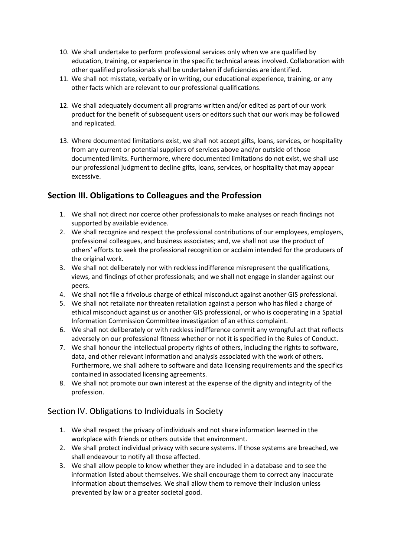- 10. We shall undertake to perform professional services only when we are qualified by education, training, or experience in the specific technical areas involved. Collaboration with other qualified professionals shall be undertaken if deficiencies are identified.
- 11. We shall not misstate, verbally or in writing, our educational experience, training, or any other facts which are relevant to our professional qualifications.
- 12. We shall adequately document all programs written and/or edited as part of our work product for the benefit of subsequent users or editors such that our work may be followed and replicated.
- 13. Where documented limitations exist, we shall not accept gifts, loans, services, or hospitality from any current or potential suppliers of services above and/or outside of those documented limits. Furthermore, where documented limitations do not exist, we shall use our professional judgment to decline gifts, loans, services, or hospitality that may appear excessive.

# **Section III. Obligations to Colleagues and the Profession**

- 1. We shall not direct nor coerce other professionals to make analyses or reach findings not supported by available evidence.
- 2. We shall recognize and respect the professional contributions of our employees, employers, professional colleagues, and business associates; and, we shall not use the product of others' efforts to seek the professional recognition or acclaim intended for the producers of the original work.
- 3. We shall not deliberately nor with reckless indifference misrepresent the qualifications, views, and findings of other professionals; and we shall not engage in slander against our peers.
- 4. We shall not file a frivolous charge of ethical misconduct against another GIS professional.
- 5. We shall not retaliate nor threaten retaliation against a person who has filed a charge of ethical misconduct against us or another GIS professional, or who is cooperating in a Spatial Information Commission Committee investigation of an ethics complaint.
- 6. We shall not deliberately or with reckless indifference commit any wrongful act that reflects adversely on our professional fitness whether or not it is specified in the Rules of Conduct.
- 7. We shall honour the intellectual property rights of others, including the rights to software, data, and other relevant information and analysis associated with the work of others. Furthermore, we shall adhere to software and data licensing requirements and the specifics contained in associated licensing agreements.
- 8. We shall not promote our own interest at the expense of the dignity and integrity of the profession.

### Section IV. Obligations to Individuals in Society

- 1. We shall respect the privacy of individuals and not share information learned in the workplace with friends or others outside that environment.
- 2. We shall protect individual privacy with secure systems. If those systems are breached, we shall endeavour to notify all those affected.
- 3. We shall allow people to know whether they are included in a database and to see the information listed about themselves. We shall encourage them to correct any inaccurate information about themselves. We shall allow them to remove their inclusion unless prevented by law or a greater societal good.